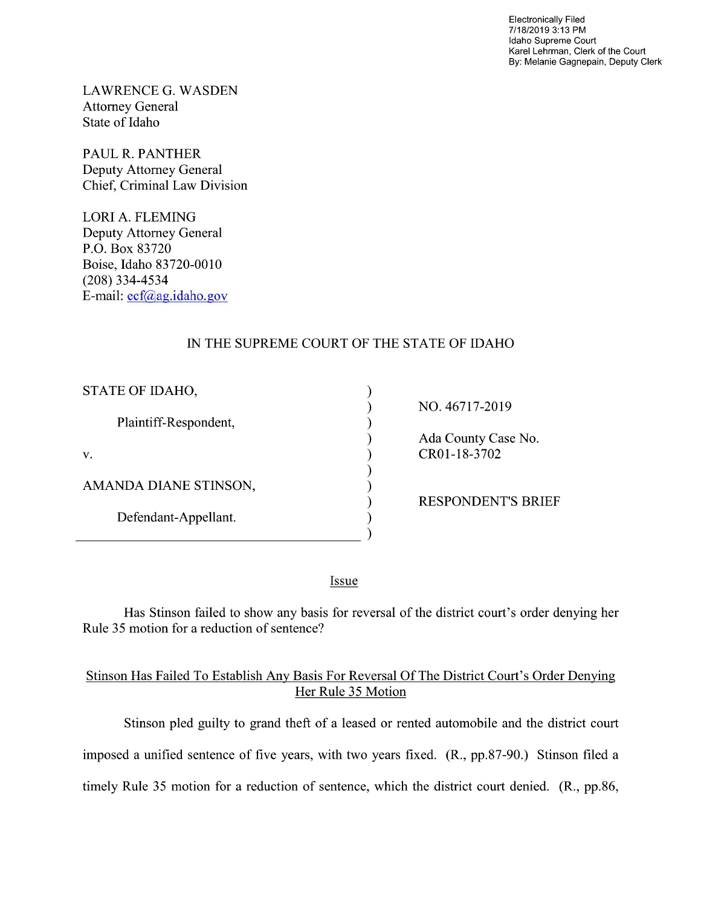Electronically Filed 7/18/2019 3:13 PM Idaho Supreme Court Karel Lehrman, Clerk of the Court By: Melanie Gagnepain, Deputy Clerk

LAWRENCE G. WASDEN Attorney General State of Idaho

PAUL R. PANTHER Deputy Attorney General Chief, Criminal Law Division

LORI A. FLEMING Deputy Attorney General P.O. Box 83720 Boise, Idaho 83720-0010 (208) 334—4534 E-mail: ecf@ag.idaho.gov

# IN THE SUPREME COURT OF THE STATE OF IDAHO

⟩

 $\lambda$  $\lambda$ 

€  $\mathcal{E}$  $\lambda$ 

 $\lambda$ 

| STATE OF IDAHO,       |
|-----------------------|
| Plaintiff-Respondent, |
| V.                    |
| AMANDA DIANE STINSON, |
| Defendant-Appellant.  |

NO. 46717-2019

Ada County Case N0. CR01-18-3702

RESPONDENT'S BRIEF

Issue

Has Stinson failed to show any basis for reversal of the district court's order denying her Rule 35 motion for a reduction of sentence?

# Stinson Has Failed T0 Establish Any Basis For Reversal Of The District Court's Order Denying Her Rule 35 Motion

Stinson pled guilty to grand theft of a leased or rented automobile and the district court imposed a unified sentence of five years, with two years fixed. (R., pp.87-90.) Stinson filed a timely Rule 35 motion for a reduction of sentence, which the district court denied.  $(R<sub>1</sub>, pp.86,$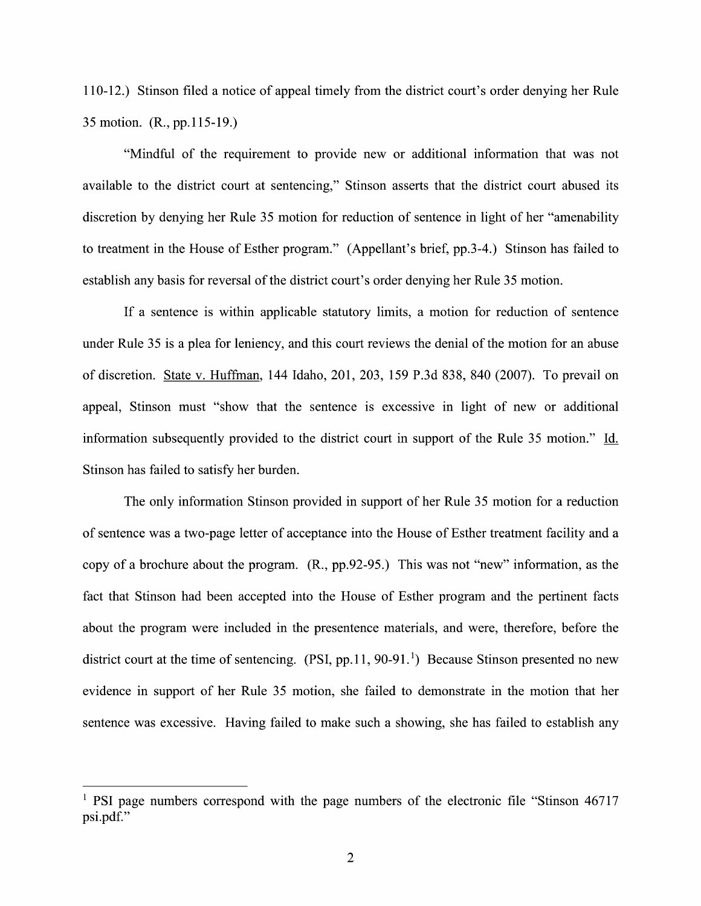110-12.) Stinson filed a notice of appeal timely from the district court's order denying her Rule 35 motion. (R., pp.1 15-19.)

"Mindful 0f the requirement t0 provide new 0r additional information that was not available to the district court at sentencing," Stinson asserts that the district court abused its discretion by denying her Rule 35 motion for reduction of sentence in light 0f her "amenability to treatment in the House of Esther program." (Appellant's brief, pp.3-4.) Stinson has failed to establish any basis for reversal of the district court's order denying her Rule 35 motion.

If a sentence is within applicable statutory limits, a motion for reduction of sentence under Rule 35 is a plea for leniency, and this court reviews the denial of the motion for an abuse 0f discretion. State V. Huffman, 144 Idaho, 201, 203, 159 P.3d 838, 840 (2007). To prevail on appeal, Stinson must "show that the sentence is excessive in light of new or additional information subsequently provided to the district court in support of the Rule 35 motion." Id. Stinson has failed to satisfy her burden.

The only information Stinson provided in support of her Rule 35 motion for a reduction of sentence was a two-page letter of acceptance into the House of Esther treatment facility and a copy of a brochure about the program.  $(R., pp.92-95.)$  This was not "new" information, as the fact that Stinson had been accepted into the House of Esther program and the pertinent facts about the program were included in the presentence materials, and were, therefore, before the district court at the time of sentencing.  $(PSI, pp.11, 90-91<sup>1</sup>)$  Because Stinson presented no new evidence in support 0f her Rule 35 motion, she failed to demonstrate in the motion that her sentence was excessive. Having failed to make such a showing, she has failed to establish any

 $<sup>1</sup>$  PSI page numbers correspond with the page numbers of the electronic file "Stinson 46717</sup> psi.pdf."